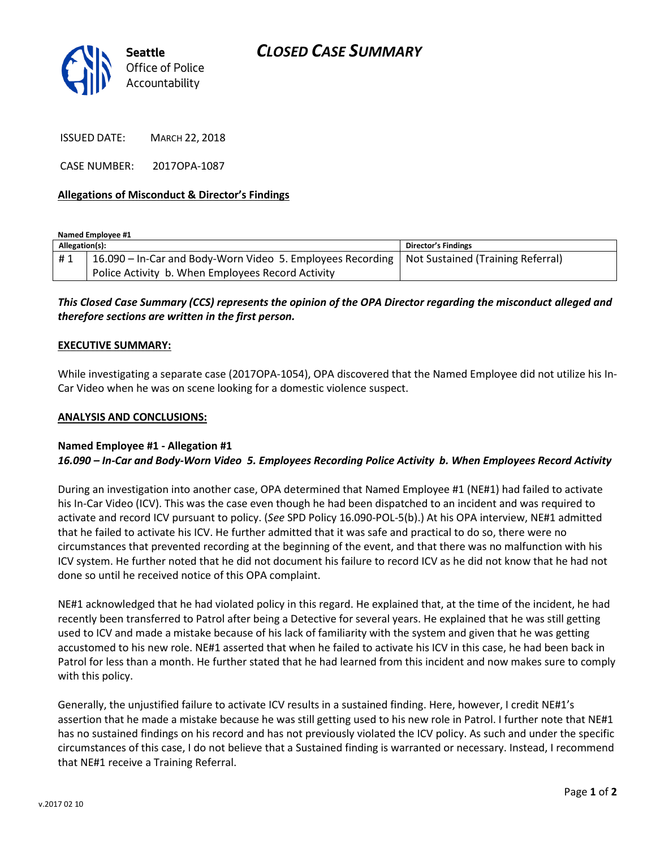

ISSUED DATE: MARCH 22, 2018

CASE NUMBER: 2017OPA-1087

## **Allegations of Misconduct & Director's Findings**

**Named Employee #1**

| Allegation(s): |                                                                                                | Director's Findings |
|----------------|------------------------------------------------------------------------------------------------|---------------------|
| #1             | 16.090 – In-Car and Body-Worn Video 5. Employees Recording   Not Sustained (Training Referral) |                     |
|                | Police Activity b. When Employees Record Activity                                              |                     |

# *This Closed Case Summary (CCS) represents the opinion of the OPA Director regarding the misconduct alleged and therefore sections are written in the first person.*

#### **EXECUTIVE SUMMARY:**

While investigating a separate case (2017OPA-1054), OPA discovered that the Named Employee did not utilize his In-Car Video when he was on scene looking for a domestic violence suspect.

#### **ANALYSIS AND CONCLUSIONS:**

### **Named Employee #1 - Allegation #1** *16.090 – In-Car and Body-Worn Video 5. Employees Recording Police Activity b. When Employees Record Activity*

During an investigation into another case, OPA determined that Named Employee #1 (NE#1) had failed to activate his In-Car Video (ICV). This was the case even though he had been dispatched to an incident and was required to activate and record ICV pursuant to policy. (*See* SPD Policy 16.090-POL-5(b).) At his OPA interview, NE#1 admitted that he failed to activate his ICV. He further admitted that it was safe and practical to do so, there were no circumstances that prevented recording at the beginning of the event, and that there was no malfunction with his ICV system. He further noted that he did not document his failure to record ICV as he did not know that he had not done so until he received notice of this OPA complaint.

NE#1 acknowledged that he had violated policy in this regard. He explained that, at the time of the incident, he had recently been transferred to Patrol after being a Detective for several years. He explained that he was still getting used to ICV and made a mistake because of his lack of familiarity with the system and given that he was getting accustomed to his new role. NE#1 asserted that when he failed to activate his ICV in this case, he had been back in Patrol for less than a month. He further stated that he had learned from this incident and now makes sure to comply with this policy.

Generally, the unjustified failure to activate ICV results in a sustained finding. Here, however, I credit NE#1's assertion that he made a mistake because he was still getting used to his new role in Patrol. I further note that NE#1 has no sustained findings on his record and has not previously violated the ICV policy. As such and under the specific circumstances of this case, I do not believe that a Sustained finding is warranted or necessary. Instead, I recommend that NE#1 receive a Training Referral.